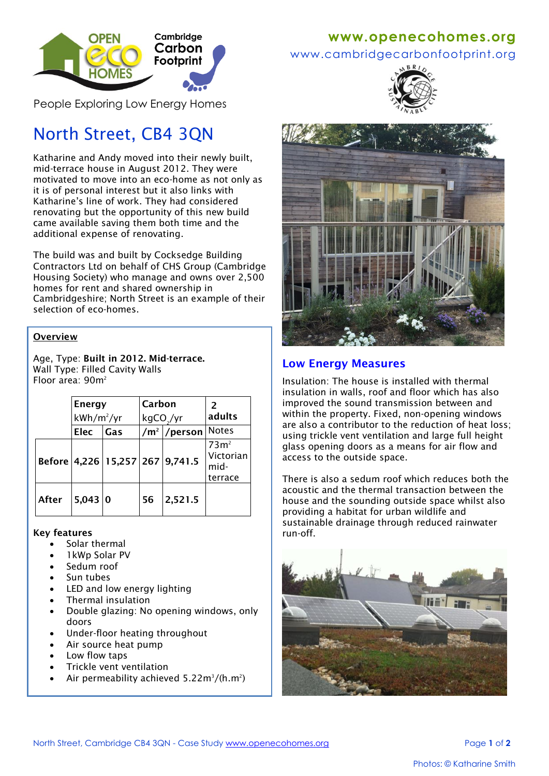

People Exploring Low Energy Homes

# North Street, CB4 3QN

Katharine and Andy moved into their newly built, mid-terrace house in August 2012. They were motivated to move into an eco-home as not only as it is of personal interest but it also links with Katharine's line of work. They had considered renovating but the opportunity of this new build came available saving them both time and the additional expense of renovating.

The build was and built by Cocksedge Building Contractors Ltd on behalf of CHS Group (Cambridge Housing Society) who manage and owns over 2,500 homes for rent and shared ownership in Cambridgeshire; North Street is an example of their selection of eco-homes.

#### **Overview**

Age, Type: **Built in 2012. Mid-terrace.** Wall Type: Filled Cavity Walls Floor area: 90m<sup>2</sup>

|       | <b>Energy</b> |     | Carbon   |                                 | $\mathcal{P}$                                   |
|-------|---------------|-----|----------|---------------------------------|-------------------------------------------------|
|       | $kWh/m^2/yr$  |     | kgCO /yr |                                 | adults                                          |
|       | <b>Elec</b>   | Gas |          | $/m2$ /person                   | <b>Notes</b>                                    |
|       |               |     |          | Before 4,226 15,257 267 9,741.5 | 73 <sup>2</sup><br>Victorian<br>mid-<br>terrace |
| After | $5,043$ 0     |     | 56       | 2,521.5                         |                                                 |

#### **Key features**

- Solar thermal
- 1kWp Solar PV
- Sedum roof
- Sun tubes
- LED and low energy lighting
- Thermal insulation
- Double glazing: No opening windows, only doors
- Under-floor heating throughout
- Air source heat pump
- Low flow taps
- Trickle vent ventilation
- Air permeability achieved  $5.22 \text{m}^3/(\text{h} \cdot \text{m}^2)$

## **www[.openecohomes.org](http://www.openecohomes.org/)**

## www.cambridgecarbonfootprint.org





### **Low Energy Measures**

Insulation: The house is installed with thermal insulation in walls, roof and floor which has also improved the sound transmission between and within the property. Fixed, non-opening windows are also a contributor to the reduction of heat loss; using trickle vent ventilation and large full height glass opening doors as a means for air flow and access to the outside space.

There is also a sedum roof which reduces both the acoustic and the thermal transaction between the house and the sounding outside space whilst also providing a habitat for urban wildlife and sustainable drainage through reduced rainwater run-off.